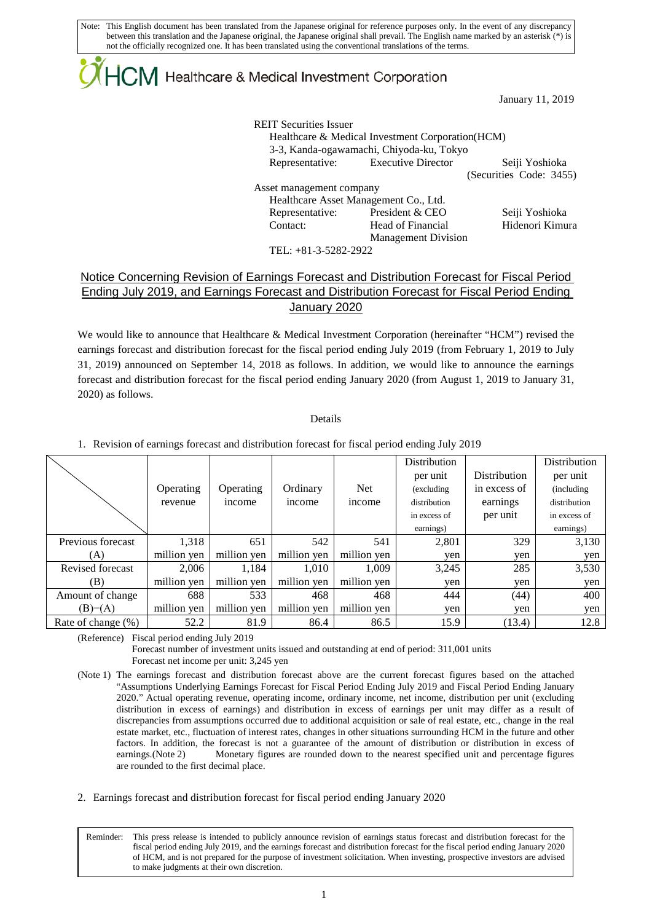## ${|\!\!|\!\! \bigcap \!\!|\!\! \bigcap \!\!|\!\!|}$  Healthcare & Medical Investment Corporation

January 11, 2019

| <b>REIT Securities Issuer</b>         | Healthcare & Medical Investment Corporation (HCM)<br>3-3, Kanda-ogawamachi, Chiyoda-ku, Tokyo |                         |
|---------------------------------------|-----------------------------------------------------------------------------------------------|-------------------------|
|                                       | Representative: Executive Director                                                            | Seiji Yoshioka          |
|                                       |                                                                                               | (Securities Code: 3455) |
| Asset management company              |                                                                                               |                         |
| Healthcare Asset Management Co., Ltd. |                                                                                               |                         |
| Representative:                       | President & CEO                                                                               | Seiji Yoshioka          |
| Contact:                              | Head of Financial                                                                             | Hidenori Kimura         |
|                                       | <b>Management Division</b>                                                                    |                         |
|                                       |                                                                                               |                         |

TEL: +81-3-5282-2922

## Notice Concerning Revision of Earnings Forecast and Distribution Forecast for Fiscal Period Ending July 2019, and Earnings Forecast and Distribution Forecast for Fiscal Period Ending January 2020

We would like to announce that Healthcare & Medical Investment Corporation (hereinafter "HCM") revised the earnings forecast and distribution forecast for the fiscal period ending July 2019 (from February 1, 2019 to July 31, 2019) announced on September 14, 2018 as follows. In addition, we would like to announce the earnings forecast and distribution forecast for the fiscal period ending January 2020 (from August 1, 2019 to January 31, 2020) as follows.

Details

1. Revision of earnings forecast and distribution forecast for fiscal period ending July 2019

|                    |             |             |             |             | <b>Distribution</b> |              | Distribution |
|--------------------|-------------|-------------|-------------|-------------|---------------------|--------------|--------------|
|                    |             |             |             |             | per unit            | Distribution | per unit     |
|                    | Operating   | Operating   | Ordinary    | <b>Net</b>  | (excluding          | in excess of | (including)  |
|                    | revenue     | income      | income      | income      | distribution        | earnings     | distribution |
|                    |             |             |             |             | in excess of        | per unit     | in excess of |
|                    |             |             |             |             | earnings)           |              | earnings)    |
| Previous forecast  | 1,318       | 651         | 542         | 541         | 2,801               | 329          | 3,130        |
| (A)                | million yen | million yen | million yen | million ven | ven                 | ven          | yen          |
| Revised forecast   | 2.006       | 1,184       | 1,010       | 1,009       | 3,245               | 285          | 3,530        |
| (B)                | million yen | million yen | million yen | million ven | ven                 | ven          | yen          |
| Amount of change   | 688         | 533         | 468         | 468         | 444                 | (44)         | 400          |
| (B)–(A)            | million yen | million yen | million yen | million yen | ven                 | ven          | yen          |
| Rate of change (%) | 52.2        | 81.9        | 86.4        | 86.5        | 15.9                | (13.4)       | 12.8         |

(Reference) Fiscal period ending July 2019

L

Forecast number of investment units issued and outstanding at end of period: 311,001 units Forecast net income per unit: 3,245 yen

- (Note 1) The earnings forecast and distribution forecast above are the current forecast figures based on the attached "Assumptions Underlying Earnings Forecast for Fiscal Period Ending July 2019 and Fiscal Period Ending January 2020." Actual operating revenue, operating income, ordinary income, net income, distribution per unit (excluding distribution in excess of earnings) and distribution in excess of earnings per unit may differ as a result of discrepancies from assumptions occurred due to additional acquisition or sale of real estate, etc., change in the real estate market, etc., fluctuation of interest rates, changes in other situations surrounding HCM in the future and other factors. In addition, the forecast is not a guarantee of the amount of distribution or distribution in excess of earnings.(Note 2) Monetary figures are rounded down to the nearest specified unit and percentage figures are rounded to the first decimal place.
- 2. Earnings forecast and distribution forecast for fiscal period ending January 2020

Reminder: This press release is intended to publicly announce revision of earnings status forecast and distribution forecast for the fiscal period ending July 2019, and the earnings forecast and distribution forecast for the fiscal period ending January 2020 of HCM, and is not prepared for the purpose of investment solicitation. When investing, prospective investors are advised to make judgments at their own discretion.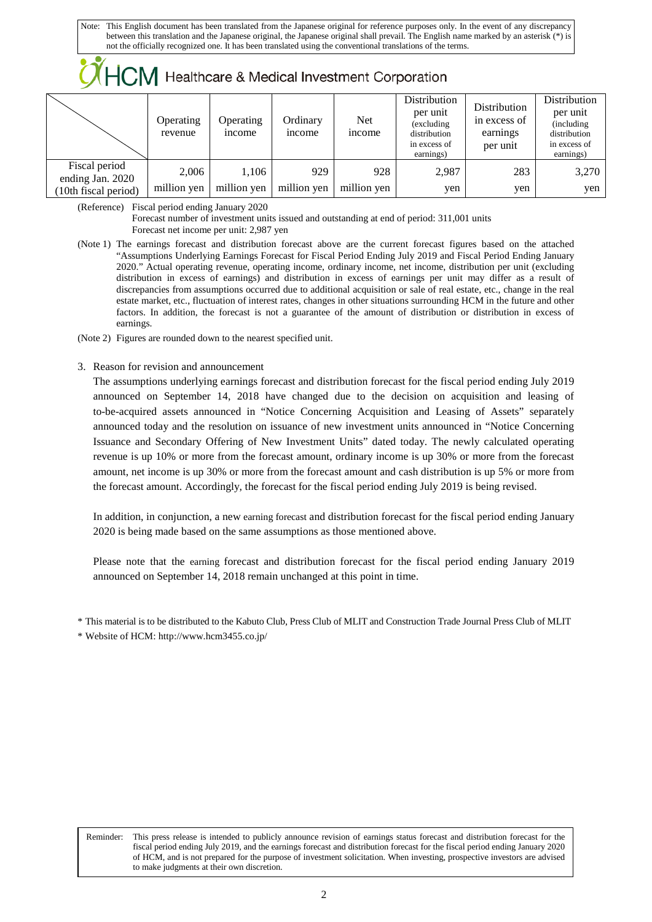|  |  | $\mathcal{M}$ HCM Healthcare & Medical Investment Corporation |
|--|--|---------------------------------------------------------------|
|--|--|---------------------------------------------------------------|

|                                   | Operating<br>revenue | Operating<br><i>n</i> come | Ordinary<br><i>n</i> come | <b>Net</b><br><i>ncome</i> | Distribution<br>per unit<br>(excluding)<br>distribution<br>in excess of<br>earnings) | Distribution<br>in excess of<br>earnings<br>per unit | Distribution<br>per unit<br>(including)<br>distribution<br>in excess of<br>earnings) |
|-----------------------------------|----------------------|----------------------------|---------------------------|----------------------------|--------------------------------------------------------------------------------------|------------------------------------------------------|--------------------------------------------------------------------------------------|
| Fiscal period<br>ending Jan. 2020 | 2.006                | 1.106                      | 929                       | 928                        | 2,987                                                                                | 283                                                  | 3,270                                                                                |
| (10th fiscal period)              | million yen          | million yen                | million yen               | million yen                | yen                                                                                  | ven                                                  | yen                                                                                  |

(Reference) Fiscal period ending January 2020

Forecast number of investment units issued and outstanding at end of period: 311,001 units Forecast net income per unit: 2,987 yen

(Note 1) The earnings forecast and distribution forecast above are the current forecast figures based on the attached "Assumptions Underlying Earnings Forecast for Fiscal Period Ending July 2019 and Fiscal Period Ending January 2020." Actual operating revenue, operating income, ordinary income, net income, distribution per unit (excluding distribution in excess of earnings) and distribution in excess of earnings per unit may differ as a result of discrepancies from assumptions occurred due to additional acquisition or sale of real estate, etc., change in the real estate market, etc., fluctuation of interest rates, changes in other situations surrounding HCM in the future and other factors. In addition, the forecast is not a guarantee of the amount of distribution or distribution in excess of earnings.

(Note 2) Figures are rounded down to the nearest specified unit.

3. Reason for revision and announcement

The assumptions underlying earnings forecast and distribution forecast for the fiscal period ending July 2019 announced on September 14, 2018 have changed due to the decision on acquisition and leasing of to-be-acquired assets announced in "Notice Concerning Acquisition and Leasing of Assets" separately announced today and the resolution on issuance of new investment units announced in "Notice Concerning Issuance and Secondary Offering of New Investment Units" dated today. The newly calculated operating revenue is up 10% or more from the forecast amount, ordinary income is up 30% or more from the forecast amount, net income is up 30% or more from the forecast amount and cash distribution is up 5% or more from the forecast amount. Accordingly, the forecast for the fiscal period ending July 2019 is being revised.

In addition, in conjunction, a new earning forecast and distribution forecast for the fiscal period ending January 2020 is being made based on the same assumptions as those mentioned above.

Please note that the earning forecast and distribution forecast for the fiscal period ending January 2019 announced on September 14, 2018 remain unchanged at this point in time.

\* This material is to be distributed to the Kabuto Club, Press Club of MLIT and Construction Trade Journal Press Club of MLIT

\* Website of HCM[: http://www.hcm3455.co.jp/](http://www.hcm3455.co.jp/)

L

Reminder: This press release is intended to publicly announce revision of earnings status forecast and distribution forecast for the fiscal period ending July 2019, and the earnings forecast and distribution forecast for the fiscal period ending January 2020 of HCM, and is not prepared for the purpose of investment solicitation. When investing, prospective investors are advised to make judgments at their own discretion.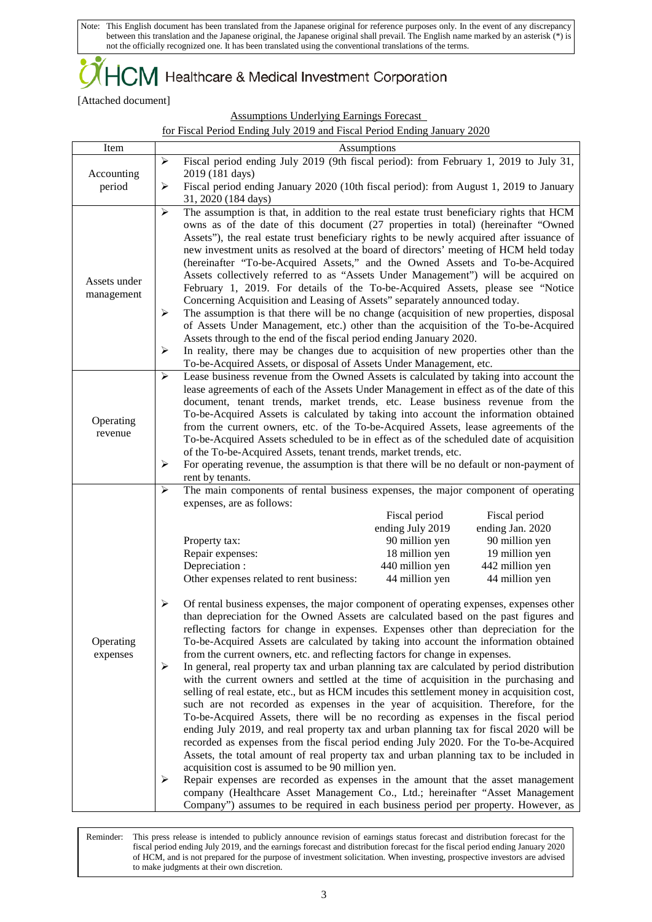$+C\mathsf{M}\,$  Healthcare & Medical Investment Corporation

[Attached document]

Assumptions Underlying Earnings Forecast

|--|

| Item         | Assumptions                                                                                                                                                                                            |  |  |  |  |  |
|--------------|--------------------------------------------------------------------------------------------------------------------------------------------------------------------------------------------------------|--|--|--|--|--|
|              | Fiscal period ending July 2019 (9th fiscal period): from February 1, 2019 to July 31,<br>➤                                                                                                             |  |  |  |  |  |
| Accounting   | 2019 (181 days)                                                                                                                                                                                        |  |  |  |  |  |
| period       | Fiscal period ending January 2020 (10th fiscal period): from August 1, 2019 to January<br>➤                                                                                                            |  |  |  |  |  |
|              | 31, 2020 (184 days)                                                                                                                                                                                    |  |  |  |  |  |
|              | The assumption is that, in addition to the real estate trust beneficiary rights that HCM<br>$\blacktriangleright$<br>owns as of the date of this document (27 properties in total) (hereinafter "Owned |  |  |  |  |  |
|              | Assets"), the real estate trust beneficiary rights to be newly acquired after issuance of                                                                                                              |  |  |  |  |  |
|              | new investment units as resolved at the board of directors' meeting of HCM held today                                                                                                                  |  |  |  |  |  |
|              | (hereinafter "To-be-Acquired Assets," and the Owned Assets and To-be-Acquired                                                                                                                          |  |  |  |  |  |
| Assets under | Assets collectively referred to as "Assets Under Management") will be acquired on                                                                                                                      |  |  |  |  |  |
| management   | February 1, 2019. For details of the To-be-Acquired Assets, please see "Notice                                                                                                                         |  |  |  |  |  |
|              | Concerning Acquisition and Leasing of Assets" separately announced today.                                                                                                                              |  |  |  |  |  |
|              | The assumption is that there will be no change (acquisition of new properties, disposal<br>➤                                                                                                           |  |  |  |  |  |
|              | of Assets Under Management, etc.) other than the acquisition of the To-be-Acquired<br>Assets through to the end of the fiscal period ending January 2020.                                              |  |  |  |  |  |
|              | In reality, there may be changes due to acquisition of new properties other than the<br>➤                                                                                                              |  |  |  |  |  |
|              | To-be-Acquired Assets, or disposal of Assets Under Management, etc.                                                                                                                                    |  |  |  |  |  |
|              | $\blacktriangleright$<br>Lease business revenue from the Owned Assets is calculated by taking into account the                                                                                         |  |  |  |  |  |
|              | lease agreements of each of the Assets Under Management in effect as of the date of this                                                                                                               |  |  |  |  |  |
|              | document, tenant trends, market trends, etc. Lease business revenue from the                                                                                                                           |  |  |  |  |  |
| Operating    | To-be-Acquired Assets is calculated by taking into account the information obtained<br>from the current owners, etc. of the To-be-Acquired Assets, lease agreements of the                             |  |  |  |  |  |
| revenue      | To-be-Acquired Assets scheduled to be in effect as of the scheduled date of acquisition                                                                                                                |  |  |  |  |  |
|              | of the To-be-Acquired Assets, tenant trends, market trends, etc.                                                                                                                                       |  |  |  |  |  |
|              | For operating revenue, the assumption is that there will be no default or non-payment of<br>≻                                                                                                          |  |  |  |  |  |
|              | rent by tenants.                                                                                                                                                                                       |  |  |  |  |  |
|              | The main components of rental business expenses, the major component of operating<br>➤                                                                                                                 |  |  |  |  |  |
|              | expenses, are as follows:                                                                                                                                                                              |  |  |  |  |  |
|              | Fiscal period<br>Fiscal period<br>ending July 2019<br>ending Jan. 2020                                                                                                                                 |  |  |  |  |  |
|              | 90 million yen<br>90 million yen<br>Property tax:                                                                                                                                                      |  |  |  |  |  |
|              | Repair expenses:<br>18 million yen<br>19 million yen                                                                                                                                                   |  |  |  |  |  |
|              | Depreciation :<br>440 million yen<br>442 million yen                                                                                                                                                   |  |  |  |  |  |
|              | Other expenses related to rent business:<br>44 million yen<br>44 million yen                                                                                                                           |  |  |  |  |  |
|              |                                                                                                                                                                                                        |  |  |  |  |  |
|              | ≻<br>Of rental business expenses, the major component of operating expenses, expenses other<br>than depreciation for the Owned Assets are calculated based on the past figures and                     |  |  |  |  |  |
|              | reflecting factors for change in expenses. Expenses other than depreciation for the                                                                                                                    |  |  |  |  |  |
| Operating    | To-be-Acquired Assets are calculated by taking into account the information obtained                                                                                                                   |  |  |  |  |  |
| expenses     | from the current owners, etc. and reflecting factors for change in expenses.                                                                                                                           |  |  |  |  |  |
|              | In general, real property tax and urban planning tax are calculated by period distribution<br>➤                                                                                                        |  |  |  |  |  |
|              | with the current owners and settled at the time of acquisition in the purchasing and                                                                                                                   |  |  |  |  |  |
|              | selling of real estate, etc., but as HCM incudes this settlement money in acquisition cost,                                                                                                            |  |  |  |  |  |
|              | such are not recorded as expenses in the year of acquisition. Therefore, for the<br>To-be-Acquired Assets, there will be no recording as expenses in the fiscal period                                 |  |  |  |  |  |
|              | ending July 2019, and real property tax and urban planning tax for fiscal 2020 will be                                                                                                                 |  |  |  |  |  |
|              | recorded as expenses from the fiscal period ending July 2020. For the To-be-Acquired                                                                                                                   |  |  |  |  |  |
|              | Assets, the total amount of real property tax and urban planning tax to be included in                                                                                                                 |  |  |  |  |  |
|              | acquisition cost is assumed to be 90 million yen.                                                                                                                                                      |  |  |  |  |  |
|              | Repair expenses are recorded as expenses in the amount that the asset management<br>➤                                                                                                                  |  |  |  |  |  |
|              | company (Healthcare Asset Management Co., Ltd.; hereinafter "Asset Management"<br>Company") assumes to be required in each business period per property. However, as                                   |  |  |  |  |  |

L Reminder: This press release is intended to publicly announce revision of earnings status forecast and distribution forecast for the fiscal period ending July 2019, and the earnings forecast and distribution forecast for the fiscal period ending January 2020 of HCM, and is not prepared for the purpose of investment solicitation. When investing, prospective investors are advised to make judgments at their own discretion.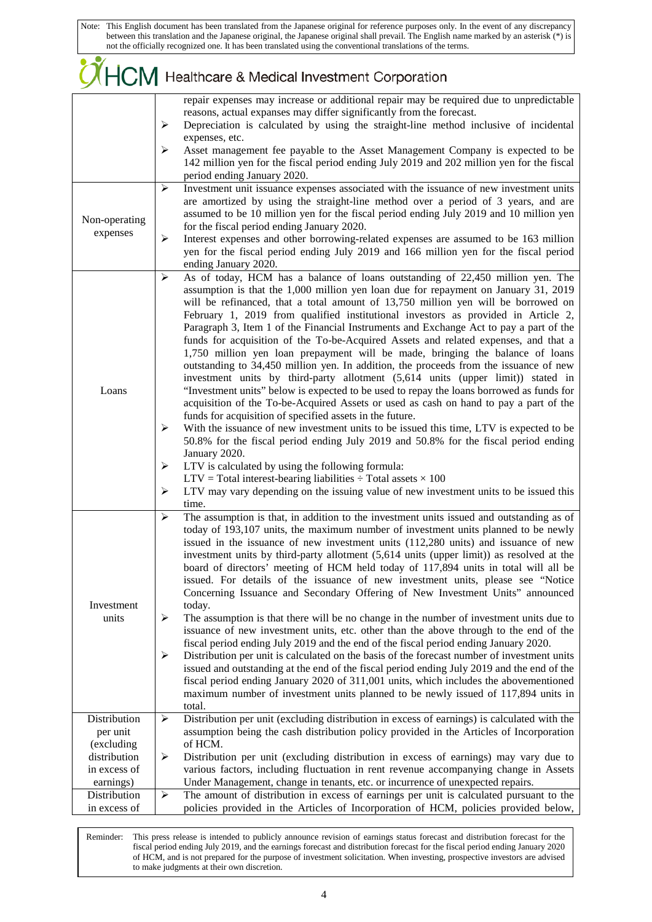|                                           | HCM Healthcare & Medical Investment Corporation                                                                                                                                                                                                                                                                                                                                                                                                                                                                                                                                                                                                                                                                                                                                                                                                                                                                                                                                                                                                                                                                                                                                                                                                             |
|-------------------------------------------|-------------------------------------------------------------------------------------------------------------------------------------------------------------------------------------------------------------------------------------------------------------------------------------------------------------------------------------------------------------------------------------------------------------------------------------------------------------------------------------------------------------------------------------------------------------------------------------------------------------------------------------------------------------------------------------------------------------------------------------------------------------------------------------------------------------------------------------------------------------------------------------------------------------------------------------------------------------------------------------------------------------------------------------------------------------------------------------------------------------------------------------------------------------------------------------------------------------------------------------------------------------|
|                                           | repair expenses may increase or additional repair may be required due to unpredictable<br>reasons, actual expanses may differ significantly from the forecast.<br>Depreciation is calculated by using the straight-line method inclusive of incidental<br>➤<br>expenses, etc.<br>Asset management fee payable to the Asset Management Company is expected to be<br>➤<br>142 million yen for the fiscal period ending July 2019 and 202 million yen for the fiscal                                                                                                                                                                                                                                                                                                                                                                                                                                                                                                                                                                                                                                                                                                                                                                                           |
|                                           | period ending January 2020.                                                                                                                                                                                                                                                                                                                                                                                                                                                                                                                                                                                                                                                                                                                                                                                                                                                                                                                                                                                                                                                                                                                                                                                                                                 |
| Non-operating<br>expenses                 | Investment unit issuance expenses associated with the issuance of new investment units<br>➤<br>are amortized by using the straight-line method over a period of 3 years, and are<br>assumed to be 10 million yen for the fiscal period ending July 2019 and 10 million yen<br>for the fiscal period ending January 2020.<br>Interest expenses and other borrowing-related expenses are assumed to be 163 million<br>➤<br>yen for the fiscal period ending July 2019 and 166 million yen for the fiscal period<br>ending January 2020.                                                                                                                                                                                                                                                                                                                                                                                                                                                                                                                                                                                                                                                                                                                       |
| Loans                                     | As of today, HCM has a balance of loans outstanding of 22,450 million yen. The<br>➤<br>assumption is that the 1,000 million yen loan due for repayment on January 31, 2019<br>will be refinanced, that a total amount of 13,750 million yen will be borrowed on<br>February 1, 2019 from qualified institutional investors as provided in Article 2,<br>Paragraph 3, Item 1 of the Financial Instruments and Exchange Act to pay a part of the<br>funds for acquisition of the To-be-Acquired Assets and related expenses, and that a<br>1,750 million yen loan prepayment will be made, bringing the balance of loans<br>outstanding to 34,450 million yen. In addition, the proceeds from the issuance of new<br>investment units by third-party allotment (5,614 units (upper limit)) stated in<br>"Investment units" below is expected to be used to repay the loans borrowed as funds for<br>acquisition of the To-be-Acquired Assets or used as cash on hand to pay a part of the<br>funds for acquisition of specified assets in the future.<br>With the issuance of new investment units to be issued this time, LTV is expected to be<br>➤<br>50.8% for the fiscal period ending July 2019 and 50.8% for the fiscal period ending<br>January 2020. |
|                                           | LTV is calculated by using the following formula:<br>➤<br>$LTV$ = Total interest-bearing liabilities $\div$ Total assets $\times$ 100<br>LTV may vary depending on the issuing value of new investment units to be issued this<br>➤<br>time.                                                                                                                                                                                                                                                                                                                                                                                                                                                                                                                                                                                                                                                                                                                                                                                                                                                                                                                                                                                                                |
| Investment<br>units                       | The assumption is that, in addition to the investment units issued and outstanding as of<br>≻<br>today of 193,107 units, the maximum number of investment units planned to be newly<br>issued in the issuance of new investment units (112,280 units) and issuance of new<br>investment units by third-party allotment (5,614 units (upper limit)) as resolved at the<br>board of directors' meeting of HCM held today of 117,894 units in total will all be<br>issued. For details of the issuance of new investment units, please see "Notice"<br>Concerning Issuance and Secondary Offering of New Investment Units" announced<br>today.<br>➤<br>The assumption is that there will be no change in the number of investment units due to<br>issuance of new investment units, etc. other than the above through to the end of the<br>fiscal period ending July 2019 and the end of the fiscal period ending January 2020.                                                                                                                                                                                                                                                                                                                                |
|                                           | Distribution per unit is calculated on the basis of the forecast number of investment units<br>➤<br>issued and outstanding at the end of the fiscal period ending July 2019 and the end of the<br>fiscal period ending January 2020 of 311,001 units, which includes the abovementioned<br>maximum number of investment units planned to be newly issued of 117,894 units in<br>total.                                                                                                                                                                                                                                                                                                                                                                                                                                                                                                                                                                                                                                                                                                                                                                                                                                                                      |
| Distribution<br>per unit<br>(excluding    | Distribution per unit (excluding distribution in excess of earnings) is calculated with the<br>➤<br>assumption being the cash distribution policy provided in the Articles of Incorporation<br>of HCM.                                                                                                                                                                                                                                                                                                                                                                                                                                                                                                                                                                                                                                                                                                                                                                                                                                                                                                                                                                                                                                                      |
| distribution<br>in excess of<br>earnings) | Distribution per unit (excluding distribution in excess of earnings) may vary due to<br>➤<br>various factors, including fluctuation in rent revenue accompanying change in Assets<br>Under Management, change in tenants, etc. or incurrence of unexpected repairs.                                                                                                                                                                                                                                                                                                                                                                                                                                                                                                                                                                                                                                                                                                                                                                                                                                                                                                                                                                                         |
| Distribution<br>in excess of              | ➤<br>The amount of distribution in excess of earnings per unit is calculated pursuant to the<br>policies provided in the Articles of Incorporation of HCM, policies provided below,                                                                                                                                                                                                                                                                                                                                                                                                                                                                                                                                                                                                                                                                                                                                                                                                                                                                                                                                                                                                                                                                         |

L Reminder: This press release is intended to publicly announce revision of earnings status forecast and distribution forecast for the fiscal period ending July 2019, and the earnings forecast and distribution forecast for the fiscal period ending January 2020 of HCM, and is not prepared for the purpose of investment solicitation. When investing, prospective investors are advised to make judgments at their own discretion.